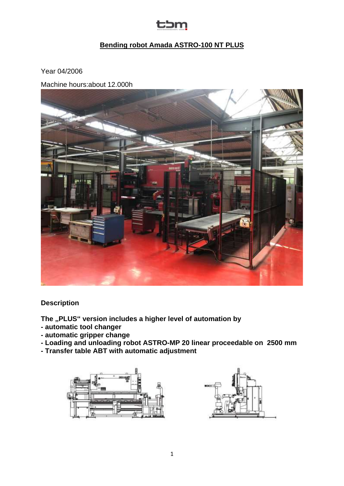## tbm

### **Bending robot Amada ASTRO-100 NT PLUS**

Year 04/2006

Machine hours:about 12.000h



**Description**

**The "PLUS" version includes a higher level of automation by**

- **- automatic tool changer**
- **- automatic gripper change**

**- Loading and unloading robot ASTRO-MP 20 linear proceedable on 2500 mm** 

**- Transfer table ABT with automatic adjustment**



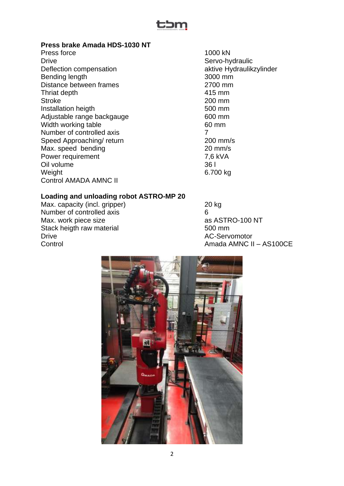

#### **Press brake Amada HDS-1030 NT**

Press force 1000 kN<br>Drive Servo-hy Deflection compensation aktive Hydraulikzylinder Bending length 3000 mm Distance between frames 2700 mm Thriat depth 415 mm Stroke 200 mm Installation heigth 500 mm Adjustable range backgauge 600 mm Width working table 60 mm Number of controlled axis 7 Speed Approaching/ return 200 mm/s Max. speed bending example 20 mm/s Power requirement 7,6 kVA Oil volume 36 l Weight 6.700 kg Control AMADA AMNC II

Servo-hydraulic

#### **Loading and unloading robot ASTRO-MP 20**

Max. capacity (incl. gripper) 20 kg Number of controlled axis 6 Max. work piece size as ASTRO-100 NT Stack heigth raw material 500 mm Drive AC-Servomotor

Control Control Control Control Amada AMNC II – AS100CE